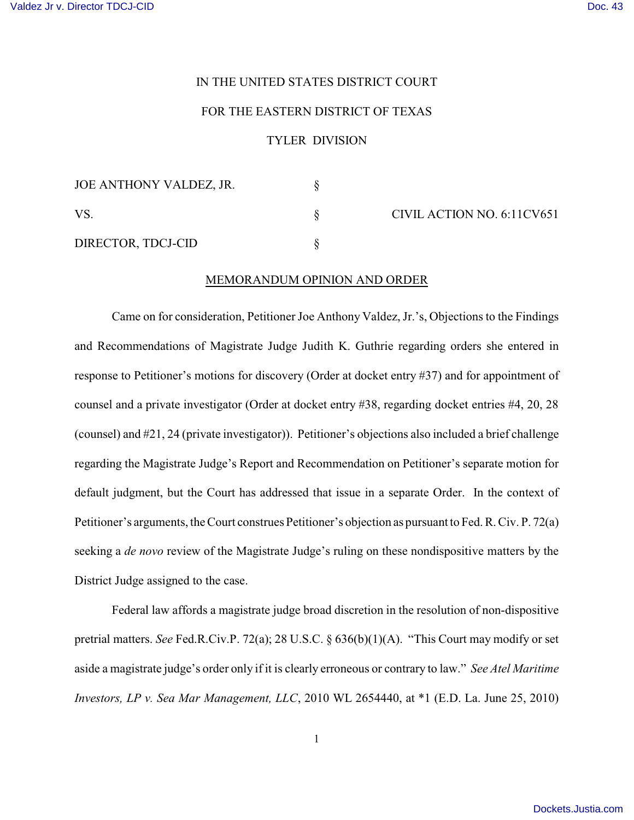## IN THE UNITED STATES DISTRICT COURT

## FOR THE EASTERN DISTRICT OF TEXAS

## TYLER DIVISION

| JOE ANTHONY VALDEZ, JR. |  |
|-------------------------|--|
| VS.                     |  |
| DIRECTOR, TDCJ-CID      |  |

CIVIL ACTION NO. 6:11CV651

## MEMORANDUM OPINION AND ORDER

Came on for consideration, Petitioner Joe Anthony Valdez, Jr.'s, Objections to the Findings and Recommendations of Magistrate Judge Judith K. Guthrie regarding orders she entered in response to Petitioner's motions for discovery (Order at docket entry #37) and for appointment of counsel and a private investigator (Order at docket entry #38, regarding docket entries #4, 20, 28 (counsel) and #21, 24 (private investigator)). Petitioner's objections also included a brief challenge regarding the Magistrate Judge's Report and Recommendation on Petitioner's separate motion for default judgment, but the Court has addressed that issue in a separate Order. In the context of Petitioner's arguments, the Court construes Petitioner's objection as pursuant to Fed. R. Civ. P. 72(a) seeking a *de novo* review of the Magistrate Judge's ruling on these nondispositive matters by the District Judge assigned to the case.

Federal law affords a magistrate judge broad discretion in the resolution of non-dispositive pretrial matters. *See* Fed.R.Civ.P. 72(a); 28 U.S.C. § 636(b)(1)(A). "This Court may modify or set aside a magistrate judge's order only if it is clearly erroneous or contrary to law." *See Atel Maritime Investors, LP v. Sea Mar Management, LLC*, 2010 WL 2654440, at \*1 (E.D. La. June 25, 2010)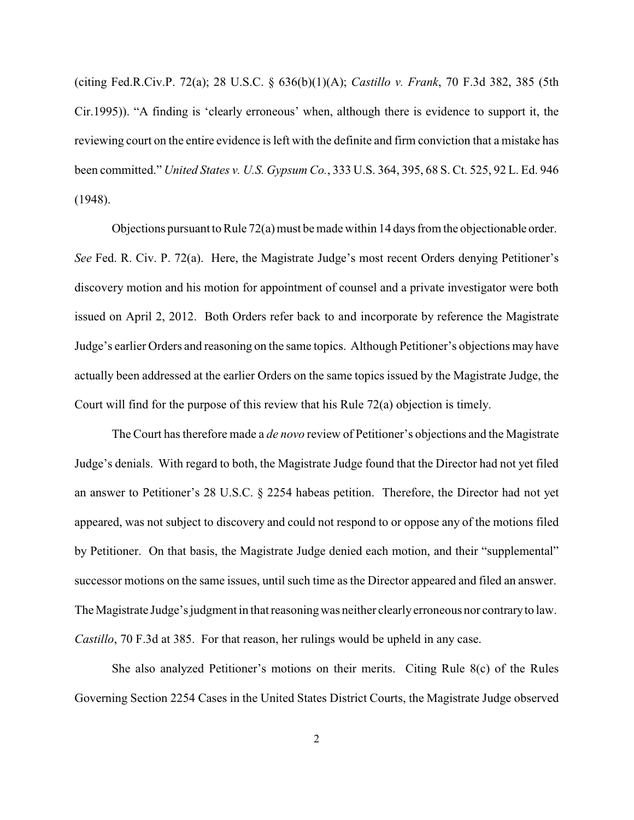(citing Fed.R.Civ.P. 72(a); 28 U.S.C. § 636(b)(1)(A); *Castillo v. Frank*, 70 F.3d 382, 385 (5th Cir.1995)). "A finding is 'clearly erroneous' when, although there is evidence to support it, the reviewing court on the entire evidence is left with the definite and firm conviction that a mistake has been committed." *United States v. U.S. Gypsum Co.*, 333 U.S. 364, 395, 68 S. Ct. 525, 92 L. Ed. 946 (1948).

Objections pursuant to Rule  $72(a)$  must be made within 14 days from the objectionable order. *See* Fed. R. Civ. P. 72(a). Here, the Magistrate Judge's most recent Orders denying Petitioner's discovery motion and his motion for appointment of counsel and a private investigator were both issued on April 2, 2012. Both Orders refer back to and incorporate by reference the Magistrate Judge's earlier Orders and reasoning on the same topics. Although Petitioner's objections may have actually been addressed at the earlier Orders on the same topics issued by the Magistrate Judge, the Court will find for the purpose of this review that his Rule 72(a) objection is timely.

The Court has therefore made a *de novo* review of Petitioner's objections and the Magistrate Judge's denials. With regard to both, the Magistrate Judge found that the Director had not yet filed an answer to Petitioner's 28 U.S.C. § 2254 habeas petition. Therefore, the Director had not yet appeared, was not subject to discovery and could not respond to or oppose any of the motions filed by Petitioner. On that basis, the Magistrate Judge denied each motion, and their "supplemental" successor motions on the same issues, until such time as the Director appeared and filed an answer. The Magistrate Judge's judgment in that reasoning was neither clearlyerroneous nor contraryto law. *Castillo*, 70 F.3d at 385. For that reason, her rulings would be upheld in any case.

She also analyzed Petitioner's motions on their merits. Citing Rule 8(c) of the Rules Governing Section 2254 Cases in the United States District Courts, the Magistrate Judge observed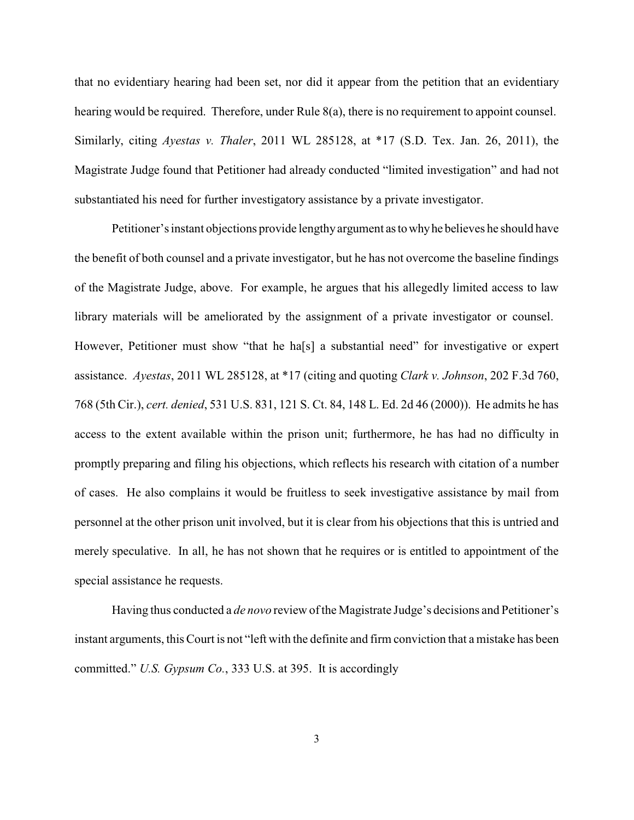that no evidentiary hearing had been set, nor did it appear from the petition that an evidentiary hearing would be required. Therefore, under Rule 8(a), there is no requirement to appoint counsel. Similarly, citing *Ayestas v. Thaler*, 2011 WL 285128, at \*17 (S.D. Tex. Jan. 26, 2011), the Magistrate Judge found that Petitioner had already conducted "limited investigation" and had not substantiated his need for further investigatory assistance by a private investigator.

Petitioner's instant objections provide lengthyargument astowhyhe believes he should have the benefit of both counsel and a private investigator, but he has not overcome the baseline findings of the Magistrate Judge, above. For example, he argues that his allegedly limited access to law library materials will be ameliorated by the assignment of a private investigator or counsel. However, Petitioner must show "that he ha<sup>[s]</sup> a substantial need" for investigative or expert assistance. *Ayestas*, 2011 WL 285128, at \*17 (citing and quoting *Clark v. Johnson*, 202 F.3d 760, 768 (5th Cir.), *cert. denied*, 531 U.S. 831, 121 S. Ct. 84, 148 L. Ed. 2d 46 (2000)). He admits he has access to the extent available within the prison unit; furthermore, he has had no difficulty in promptly preparing and filing his objections, which reflects his research with citation of a number of cases. He also complains it would be fruitless to seek investigative assistance by mail from personnel at the other prison unit involved, but it is clear from his objections that this is untried and merely speculative. In all, he has not shown that he requires or is entitled to appointment of the special assistance he requests.

Having thus conducted a *de novo* review of the Magistrate Judge's decisions and Petitioner's instant arguments, this Court is not "left with the definite and firm conviction that a mistake has been committed." *U.S. Gypsum Co.*, 333 U.S. at 395. It is accordingly